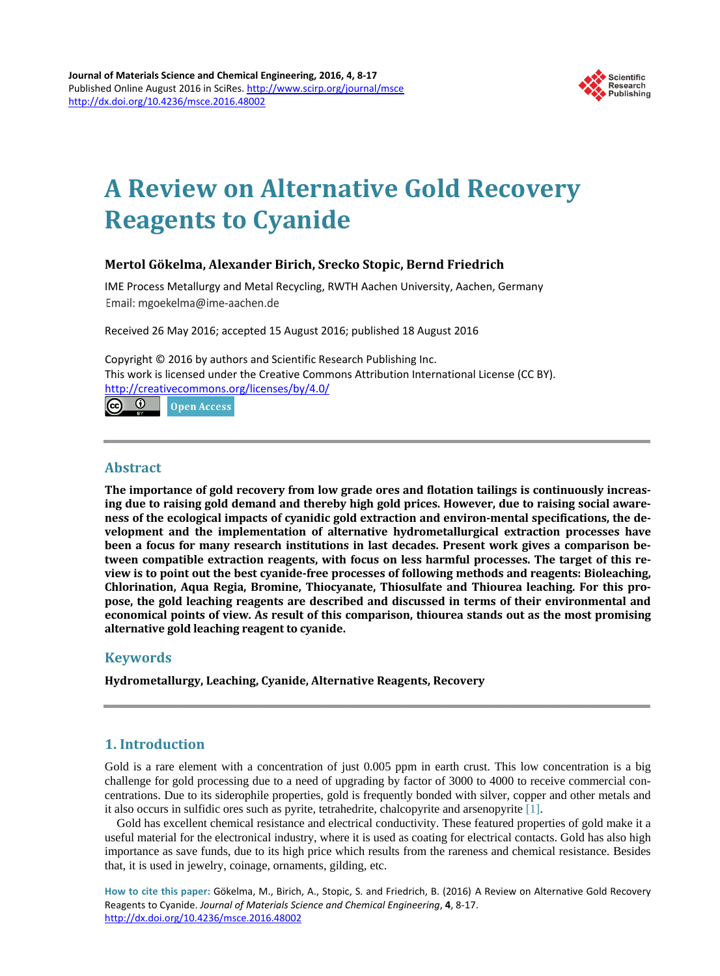

# **A Review on Alternative Gold Recovery Reagents to Cyanide**

# **Mertol Gökelma, Alexander Birich, Srecko Stopic, Bernd Friedrich**

IME Process Metallurgy and Metal Recycling, RWTH Aachen University, Aachen, Germany Email: mgoekelma@ime-aachen.de

Received 26 May 2016; accepted 15 August 2016; published 18 August 2016

Copyright © 2016 by authors and Scientific Research Publishing Inc. This work is licensed under the Creative Commons Attribution International License (CC BY). http://creativecommons.org/licenses/by/4.0/

ര  $\bullet$ Open Access

# **Abstract**

**The importance of gold recovery from low grade ores and flotation tailings is continuously increasing due to raising gold demand and thereby high gold prices. However, due to raising social awareness of the ecological impacts of cyanidic gold extraction and environ-mental specifications, the development and the implementation of alternative hydrometallurgical extraction processes have been a focus for many research institutions in last decades. Present work gives a comparison between compatible extraction reagents, with focus on less harmful processes. The target of this review is to point out the best cyanide-free processes of following methods and reagents: Bioleaching, Chlorination, Aqua Regia, Bromine, Thiocyanate, Thiosulfate and Thiourea leaching. For this propose, the gold leaching reagents are described and discussed in terms of their environmental and economical points of view. As result of this comparison, thiourea stands out as the most promising alternative gold leaching reagent to cyanide.**

# **Keywords**

**Hydrometallurgy, Leaching, Cyanide, Alternative Reagents, Recovery**

# **1. Introduction**

Gold is a rare element with a concentration of just 0.005 ppm in earth crust. This low concentration is a big challenge for gold processing due to a need of upgrading by factor of 3000 to 4000 to receive commercial concentrations. Due to its siderophile properties, gold is frequently bonded with silver, copper and other metals and it also occurs in sulfidic ores such as pyrite, tetrahedrite, chalcopyrite and arsenopyrite [1].

Gold has excellent chemical resistance and electrical conductivity. These featured properties of gold make it a useful material for the electronical industry, where it is used as coating for electrical contacts. Gold has also high importance as save funds, due to its high price which results from the rareness and chemical resistance. Besides that, it is used in jewelry, coinage, ornaments, gilding, etc.

**How to cite this paper:** Gökelma, M., Birich, A., Stopic, S. and Friedrich, B. (2016) A Review on Alternative Gold Recovery Reagents to Cyanide. *Journal of Materials Science and Chemical Engineering*, **4**, 8-17. http://dx.doi.org/10.4236/msce.2016.48002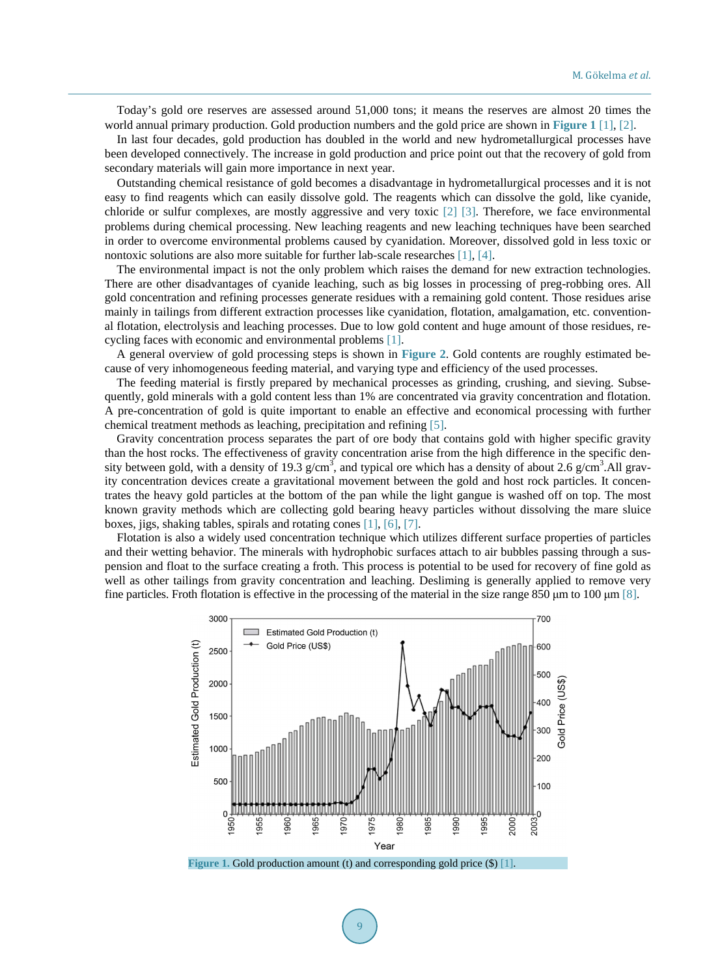Today's gold ore reserves are assessed around 51,000 tons; it means the reserves are almost 20 times the world annual primary production. Gold production numbers and the gold price are shown in **Figure 1** [1], [2].

In last four decades, gold production has doubled in the world and new hydrometallurgical processes have been developed connectively. The increase in gold production and price point out that the recovery of gold from secondary materials will gain more importance in next year.

Outstanding chemical resistance of gold becomes a disadvantage in hydrometallurgical processes and it is not easy to find reagents which can easily dissolve gold. The reagents which can dissolve the gold, like cyanide, chloride or sulfur complexes, are mostly aggressive and very toxic [2] [3]. Therefore, we face environmental problems during chemical processing. New leaching reagents and new leaching techniques have been searched in order to overcome environmental problems caused by cyanidation. Moreover, dissolved gold in less toxic or nontoxic solutions are also more suitable for further lab-scale researches [1], [4].

The environmental impact is not the only problem which raises the demand for new extraction technologies. There are other disadvantages of cyanide leaching, such as big losses in processing of preg-robbing ores. All gold concentration and refining processes generate residues with a remaining gold content. Those residues arise mainly in tailings from different extraction processes like cyanidation, flotation, amalgamation, etc. conventional flotation, electrolysis and leaching processes. Due to low gold content and huge amount of those residues, recycling faces with economic and environmental problems [1].

A general overview of gold processing steps is shown in **Figure 2**. Gold contents are roughly estimated because of very inhomogeneous feeding material, and varying type and efficiency of the used processes.

The feeding material is firstly prepared by mechanical processes as grinding, crushing, and sieving. Subsequently, gold minerals with a gold content less than 1% are concentrated via gravity concentration and flotation. A pre-concentration of gold is quite important to enable an effective and economical processing with further chemical treatment methods as leaching, precipitation and refining [5].

Gravity concentration process separates the part of ore body that contains gold with higher specific gravity than the host rocks. The effectiveness of gravity concentration arise from the high difference in the specific density between gold, with a density of 19.3  $g/cm<sup>3</sup>$ , and typical ore which has a density of about 2.6  $g/cm<sup>3</sup>$ .All gravity concentration devices create a gravitational movement between the gold and host rock particles. It concentrates the heavy gold particles at the bottom of the pan while the light gangue is washed off on top. The most known gravity methods which are collecting gold bearing heavy particles without dissolving the mare sluice boxes, jigs, shaking tables, spirals and rotating cones [1], [6], [7].

Flotation is also a widely used concentration technique which utilizes different surface properties of particles and their wetting behavior. The minerals with hydrophobic surfaces attach to air bubbles passing through a suspension and float to the surface creating a froth. This process is potential to be used for recovery of fine gold as well as other tailings from gravity concentration and leaching. Desliming is generally applied to remove very fine particles. Froth flotation is effective in the processing of the material in the size range 850 μm to 100 μm [8].



**Figure 1.** Gold production amount (t) and corresponding gold price (\$) [1].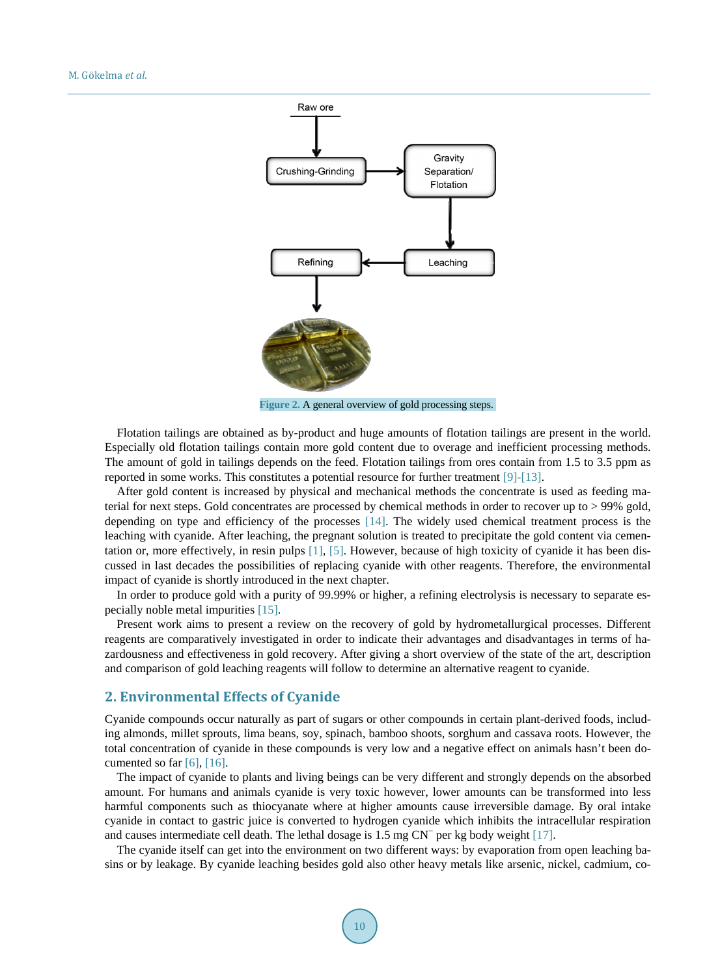

**Figure 2.** A general overview of gold processing steps.

Flotation tailings are obtained as by-product and huge amounts of flotation tailings are present in the world. Especially old flotation tailings contain more gold content due to overage and inefficient processing methods. The amount of gold in tailings depends on the feed. Flotation tailings from ores contain from 1.5 to 3.5 ppm as reported in some works. This constitutes a potential resource for further treatment [9]-[13].

After gold content is increased by physical and mechanical methods the concentrate is used as feeding material for next steps. Gold concentrates are processed by chemical methods in order to recover up to > 99% gold, depending on type and efficiency of the processes [14]. The widely used chemical treatment process is the leaching with cyanide. After leaching, the pregnant solution is treated to precipitate the gold content via cementation or, more effectively, in resin pulps [1], [5]. However, because of high toxicity of cyanide it has been discussed in last decades the possibilities of replacing cyanide with other reagents. Therefore, the environmental impact of cyanide is shortly introduced in the next chapter.

In order to produce gold with a purity of 99.99% or higher, a refining electrolysis is necessary to separate especially noble metal impurities [15].

Present work aims to present a review on the recovery of gold by hydrometallurgical processes. Different reagents are comparatively investigated in order to indicate their advantages and disadvantages in terms of hazardousness and effectiveness in gold recovery. After giving a short overview of the state of the art, description and comparison of gold leaching reagents will follow to determine an alternative reagent to cyanide.

# **2. Environmental Effects of Cyanide**

Cyanide compounds occur naturally as part of sugars or other compounds in certain plant-derived foods, including almonds, millet sprouts, lima beans, soy, spinach, bamboo shoots, sorghum and cassava roots. However, the total concentration of cyanide in these compounds is very low and a negative effect on animals hasn't been documented so far  $[6]$ ,  $[16]$ .

The impact of cyanide to plants and living beings can be very different and strongly depends on the absorbed amount. For humans and animals cyanide is very toxic however, lower amounts can be transformed into less harmful components such as thiocyanate where at higher amounts cause irreversible damage. By oral intake cyanide in contact to gastric juice is converted to hydrogen cyanide which inhibits the intracellular respiration and causes intermediate cell death. The lethal dosage is 1.5 mg CN<sup>−</sup> per kg body weight [17].

The cyanide itself can get into the environment on two different ways: by evaporation from open leaching basins or by leakage. By cyanide leaching besides gold also other heavy metals like arsenic, nickel, cadmium, co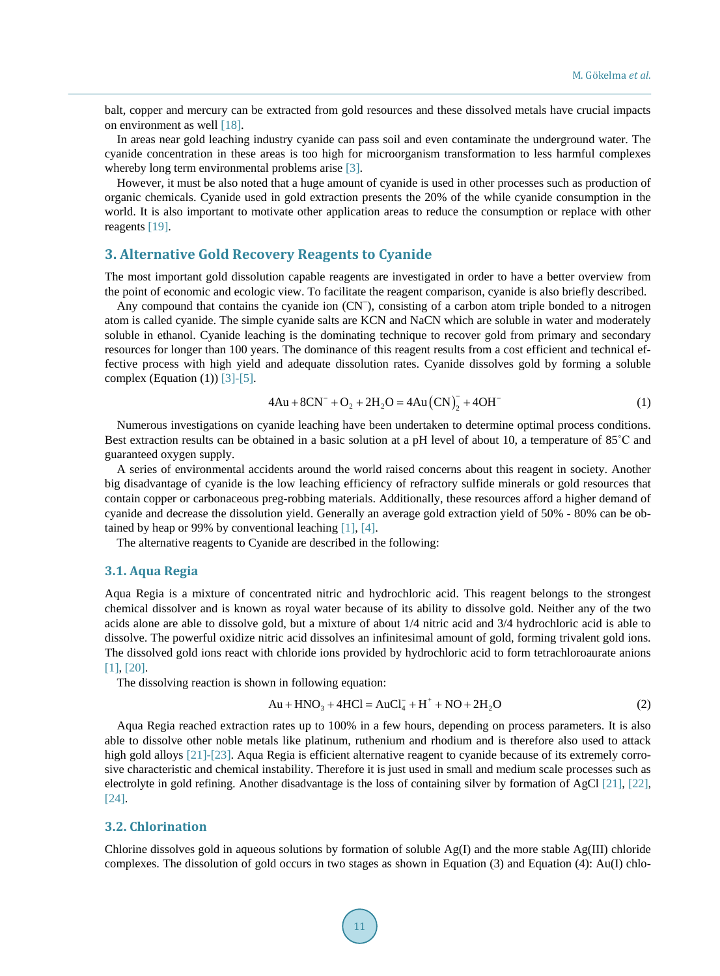balt, copper and mercury can be extracted from gold resources and these dissolved metals have crucial impacts on environment as well [18].

In areas near gold leaching industry cyanide can pass soil and even contaminate the underground water. The cyanide concentration in these areas is too high for microorganism transformation to less harmful complexes whereby long term environmental problems arise [3].

However, it must be also noted that a huge amount of cyanide is used in other processes such as production of organic chemicals. Cyanide used in gold extraction presents the 20% of the while cyanide consumption in the world. It is also important to motivate other application areas to reduce the consumption or replace with other reagents [19].

# **3. Alternative Gold Recovery Reagents to Cyanide**

The most important gold dissolution capable reagents are investigated in order to have a better overview from the point of economic and ecologic view. To facilitate the reagent comparison, cyanide is also briefly described.

Any compound that contains the cyanide ion (CN<sup>−</sup>), consisting of a carbon atom triple bonded to a nitrogen atom is called cyanide. The simple cyanide salts are KCN and NaCN which are soluble in water and moderately soluble in ethanol. Cyanide leaching is the dominating technique to recover gold from primary and secondary resources for longer than 100 years. The dominance of this reagent results from a cost efficient and technical effective process with high yield and adequate dissolution rates. Cyanide dissolves gold by forming a soluble complex (Equation (1))  $[3]-[5]$ .

$$
4Au + 8CN^{-} + O_2 + 2H_2O = 4Au (CN)_2^{-} + 4OH^{-}
$$
 (1)

Numerous investigations on cyanide leaching have been undertaken to determine optimal process conditions. Best extraction results can be obtained in a basic solution at a pH level of about 10, a temperature of 85˚C and guaranteed oxygen supply.

A series of environmental accidents around the world raised concerns about this reagent in society. Another big disadvantage of cyanide is the low leaching efficiency of refractory sulfide minerals or gold resources that contain copper or carbonaceous preg-robbing materials. Additionally, these resources afford a higher demand of cyanide and decrease the dissolution yield. Generally an average gold extraction yield of 50% - 80% can be obtained by heap or 99% by conventional leaching [1], [4].

The alternative reagents to Cyanide are described in the following:

#### **3.1. Aqua Regia**

Aqua Regia is a mixture of concentrated nitric and hydrochloric acid. This reagent belongs to the strongest chemical dissolver and is known as royal water because of its ability to dissolve gold. Neither any of the two acids alone are able to dissolve gold, but a mixture of about 1/4 nitric acid and 3/4 hydrochloric acid is able to dissolve. The powerful oxidize nitric acid dissolves an infinitesimal amount of gold, forming trivalent gold ions. The dissolved gold ions react with chloride ions provided by hydrochloric acid to form tetrachloroaurate anions [1], [20].

The dissolving reaction is shown in following equation:

$$
Au + HNO3 + 4HCl = AuCl4- + H+ + NO + 2H2O
$$
 (2)

Aqua Regia reached extraction rates up to 100% in a few hours, depending on process parameters. It is also able to dissolve other noble metals like platinum, ruthenium and rhodium and is therefore also used to attack high gold alloys [21]-[23]. Aqua Regia is efficient alternative reagent to cyanide because of its extremely corrosive characteristic and chemical instability. Therefore it is just used in small and medium scale processes such as electrolyte in gold refining. Another disadvantage is the loss of containing silver by formation of AgCl [21], [22], [24].

## **3.2. Chlorination**

Chlorine dissolves gold in aqueous solutions by formation of soluble  $Ag(I)$  and the more stable  $Ag(III)$  chloride complexes. The dissolution of gold occurs in two stages as shown in Equation (3) and Equation (4): Au(I) chlo-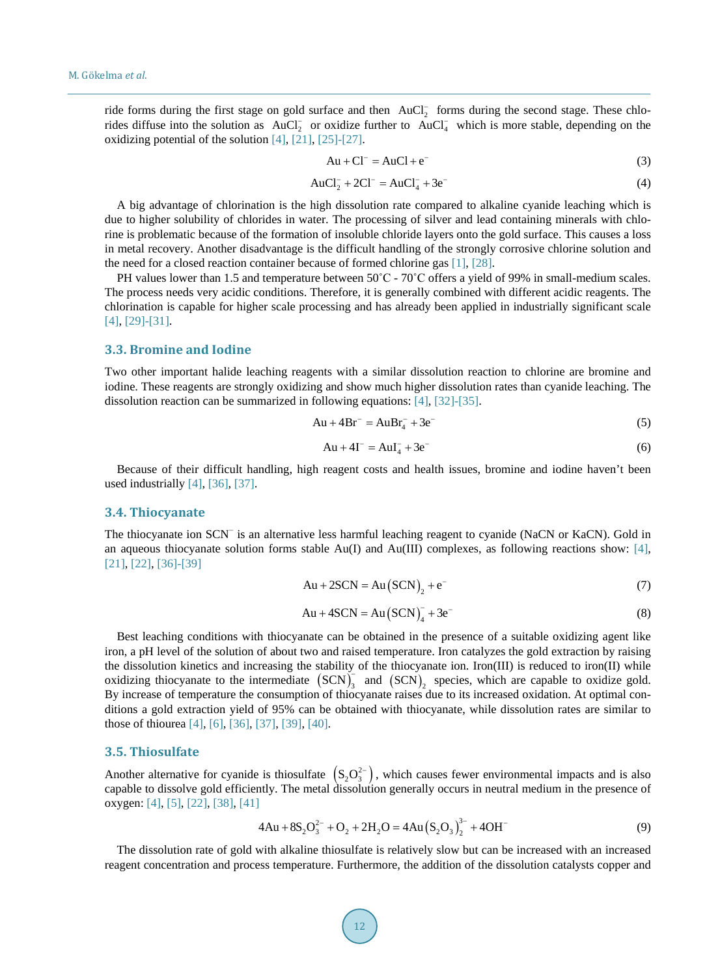ride forms during the first stage on gold surface and then  $AuCl<sub>2</sub><sup>-</sup>$  forms during the second stage. These chlorides diffuse into the solution as  $AuCl_2^-$  or oxidize further to  $AuCl_4^-$  which is more stable, depending on the oxidizing potential of the solution [4], [21], [25]-[27].

$$
Au + Cl^- = AuCl + e^-
$$
 (3)

$$
AuCl_2^- + 2Cl^- = AuCl_4^- + 3e^-
$$
 (4)

A big advantage of chlorination is the high dissolution rate compared to alkaline cyanide leaching which is due to higher solubility of chlorides in water. The processing of silver and lead containing minerals with chlorine is problematic because of the formation of insoluble chloride layers onto the gold surface. This causes a loss in metal recovery. Another disadvantage is the difficult handling of the strongly corrosive chlorine solution and the need for a closed reaction container because of formed chlorine gas [1], [28].

PH values lower than 1.5 and temperature between  $50^{\circ}$ C -  $70^{\circ}$ C offers a yield of 99% in small-medium scales. The process needs very acidic conditions. Therefore, it is generally combined with different acidic reagents. The chlorination is capable for higher scale processing and has already been applied in industrially significant scale [4], [29]-[31].

## **3.3. Bromine and Iodine**

Two other important halide leaching reagents with a similar dissolution reaction to chlorine are bromine and iodine. These reagents are strongly oxidizing and show much higher dissolution rates than cyanide leaching. The dissolution reaction can be summarized in following equations: [4], [32]-[35].

$$
Au + 4Br^- = AuBr_4^- + 3e^-
$$
 (5)

$$
Au + 4I^{-} = AuI_{4}^{-} + 3e^{-}
$$
 (6)

Because of their difficult handling, high reagent costs and health issues, bromine and iodine haven't been used industrially [4], [36], [37].

#### **3.4. Thiocyanate**

The thiocyanate ion SCN<sup>−</sup> is an alternative less harmful leaching reagent to cyanide (NaCN or KaCN). Gold in an aqueous thiocyanate solution forms stable Au(I) and Au(III) complexes, as following reactions show: [4], [21], [22], [36]-[39]

$$
Au + 2SCN = Au (SCN)2 + e-
$$
 (7)

$$
Au + 4SCN = Au (SCN)4- + 3e-
$$
 (8)

Best leaching conditions with thiocyanate can be obtained in the presence of a suitable oxidizing agent like iron, a pH level of the solution of about two and raised temperature. Iron catalyzes the gold extraction by raising the dissolution kinetics and increasing the stability of the thiocyanate ion. Iron(III) is reduced to iron(II) while oxidizing thiocyanate to the intermediate  $(SCN)$ <sub>3</sub> and  $(SCN)$ <sub>2</sub> species, which are capable to oxidize gold. By increase of temperature the consumption of thiocyanate raises due to its increased oxidation. At optimal conditions a gold extraction yield of 95% can be obtained with thiocyanate, while dissolution rates are similar to those of thiourea [4], [6], [36], [37], [39], [40].

#### **3.5. Thiosulfate**

Another alternative for cyanide is thiosulfate  $(S_2O_3^{2-})$ , which causes fewer environmental impacts and is also capable to dissolve gold efficiently. The metal dissolution generally occurs in neutral medium in the presence of oxygen: [4], [5], [22], [38], [41]

$$
4Au + 8S_2O_3^{2-} + O_2 + 2H_2O = 4Au(S_2O_3)_2^{3-} + 4OH^-
$$
\n(9)

The dissolution rate of gold with alkaline thiosulfate is relatively slow but can be increased with an increased reagent concentration and process temperature. Furthermore, the addition of the dissolution catalysts copper and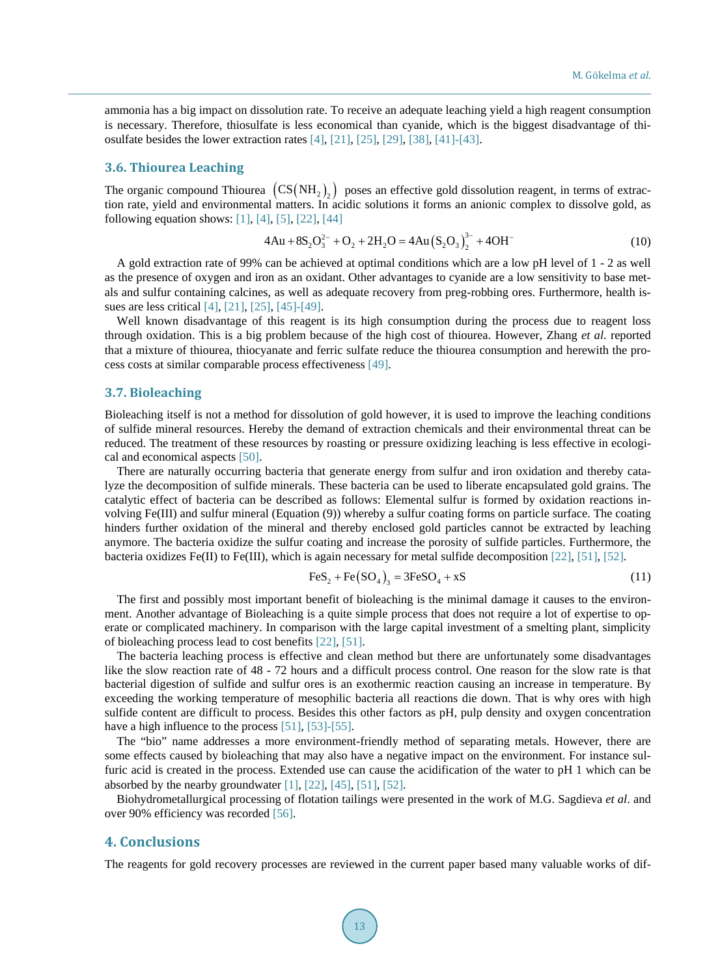ammonia has a big impact on dissolution rate. To receive an adequate leaching yield a high reagent consumption is necessary. Therefore, thiosulfate is less economical than cyanide, which is the biggest disadvantage of thiosulfate besides the lower extraction rates [4], [21], [25], [29], [38], [41]-[43].

### **3.6. Thiourea Leaching**

The organic compound Thiourea  $(CS(NH_2))$  poses an effective gold dissolution reagent, in terms of extraction rate, yield and environmental matters. In acidic solutions it forms an anionic complex to dissolve gold, as following equation shows: [1], [4], [5], [22], [44]

$$
4Au + 8S_2O_3^{2-} + O_2 + 2H_2O = 4Au(S_2O_3)_2^{3-} + 4OH^-
$$
 (10)

A gold extraction rate of 99% can be achieved at optimal conditions which are a low pH level of 1 - 2 as well as the presence of oxygen and iron as an oxidant. Other advantages to cyanide are a low sensitivity to base metals and sulfur containing calcines, as well as adequate recovery from preg-robbing ores. Furthermore, health issues are less critical [4], [21], [25], [45]-[49].

Well known disadvantage of this reagent is its high consumption during the process due to reagent loss through oxidation. This is a big problem because of the high cost of thiourea. However, Zhang *et al*. reported that a mixture of thiourea, thiocyanate and ferric sulfate reduce the thiourea consumption and herewith the process costs at similar comparable process effectiveness [49].

#### **3.7. Bioleaching**

Bioleaching itself is not a method for dissolution of gold however, it is used to improve the leaching conditions of sulfide mineral resources. Hereby the demand of extraction chemicals and their environmental threat can be reduced. The treatment of these resources by roasting or pressure oxidizing leaching is less effective in ecological and economical aspects [50].

There are naturally occurring bacteria that generate energy from sulfur and iron oxidation and thereby catalyze the decomposition of sulfide minerals. These bacteria can be used to liberate encapsulated gold grains. The catalytic effect of bacteria can be described as follows: Elemental sulfur is formed by oxidation reactions involving Fe(III) and sulfur mineral (Equation (9)) whereby a sulfur coating forms on particle surface. The coating hinders further oxidation of the mineral and thereby enclosed gold particles cannot be extracted by leaching anymore. The bacteria oxidize the sulfur coating and increase the porosity of sulfide particles. Furthermore, the bacteria oxidizes Fe(II) to Fe(III), which is again necessary for metal sulfide decomposition [22], [51], [52].

$$
FeS_2 + Fe(SO_4)_3 = 3FeSO_4 + xS
$$
\n(11)

The first and possibly most important benefit of bioleaching is the minimal damage it causes to the environment. Another advantage of Bioleaching is a quite simple process that does not require a lot of expertise to operate or complicated machinery. In comparison with the large capital investment of a smelting plant, simplicity of bioleaching process lead to cost benefits [22], [51].

The bacteria leaching process is effective and clean method but there are unfortunately some disadvantages like the slow reaction rate of 48 - 72 hours and a difficult process control. One reason for the slow rate is that bacterial digestion of sulfide and sulfur ores is an exothermic reaction causing an increase in temperature. By exceeding the working temperature of mesophilic bacteria all reactions die down. That is why ores with high sulfide content are difficult to process. Besides this other factors as pH, pulp density and oxygen concentration have a high influence to the process [51], [53]-[55].

The "bio" name addresses a more environment-friendly method of separating metals. However, there are some effects caused by bioleaching that may also have a negative impact on the environment. For instance sulfuric acid is created in the process. Extended use can cause the acidification of the water to pH 1 which can be absorbed by the nearby groundwater [1], [22], [45], [51], [52].

Biohydrometallurgical processing of flotation tailings were presented in the work of M.G. Sagdieva *et al*. and over 90% efficiency was recorded [56].

# **4. Conclusions**

The reagents for gold recovery processes are reviewed in the current paper based many valuable works of dif-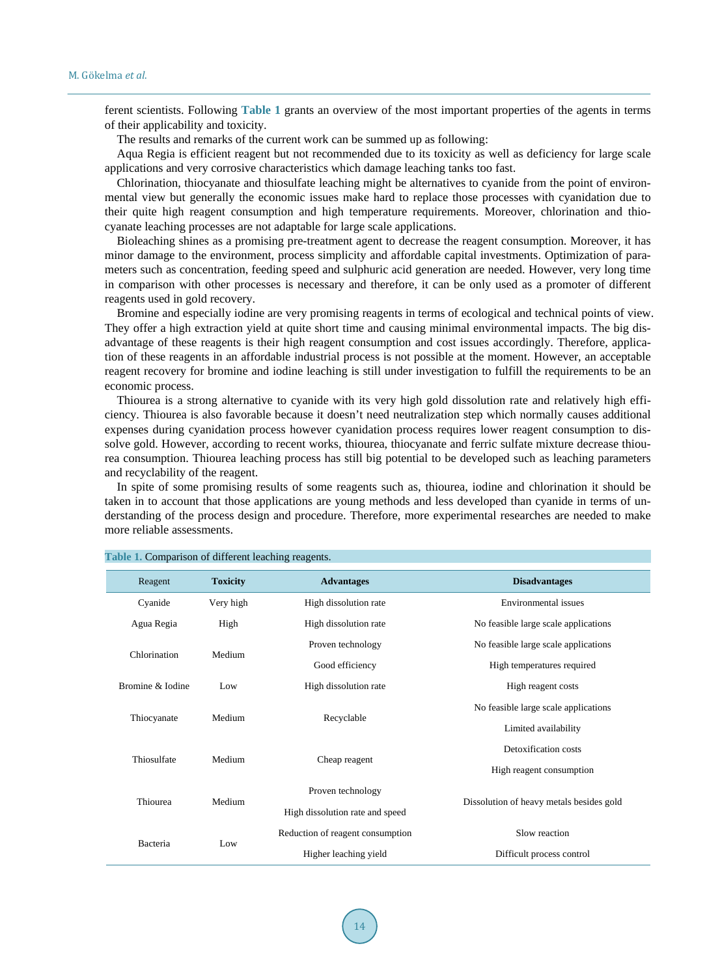ferent scientists. Following **Table 1** grants an overview of the most important properties of the agents in terms of their applicability and toxicity.

The results and remarks of the current work can be summed up as following:

Aqua Regia is efficient reagent but not recommended due to its toxicity as well as deficiency for large scale applications and very corrosive characteristics which damage leaching tanks too fast.

Chlorination, thiocyanate and thiosulfate leaching might be alternatives to cyanide from the point of environmental view but generally the economic issues make hard to replace those processes with cyanidation due to their quite high reagent consumption and high temperature requirements. Moreover, chlorination and thiocyanate leaching processes are not adaptable for large scale applications.

Bioleaching shines as a promising pre-treatment agent to decrease the reagent consumption. Moreover, it has minor damage to the environment, process simplicity and affordable capital investments. Optimization of parameters such as concentration, feeding speed and sulphuric acid generation are needed. However, very long time in comparison with other processes is necessary and therefore, it can be only used as a promoter of different reagents used in gold recovery.

Bromine and especially iodine are very promising reagents in terms of ecological and technical points of view. They offer a high extraction yield at quite short time and causing minimal environmental impacts. The big disadvantage of these reagents is their high reagent consumption and cost issues accordingly. Therefore, application of these reagents in an affordable industrial process is not possible at the moment. However, an acceptable reagent recovery for bromine and iodine leaching is still under investigation to fulfill the requirements to be an economic process.

Thiourea is a strong alternative to cyanide with its very high gold dissolution rate and relatively high efficiency. Thiourea is also favorable because it doesn't need neutralization step which normally causes additional expenses during cyanidation process however cyanidation process requires lower reagent consumption to dissolve gold. However, according to recent works, thiourea, thiocyanate and ferric sulfate mixture decrease thiourea consumption. Thiourea leaching process has still big potential to be developed such as leaching parameters and recyclability of the reagent.

In spite of some promising results of some reagents such as, thiourea, iodine and chlorination it should be taken in to account that those applications are young methods and less developed than cyanide in terms of understanding of the process design and procedure. Therefore, more experimental researches are needed to make more reliable assessments.

| Reagent          | <b>Toxicity</b> | <b>Advantages</b>                | <b>Disadvantages</b>                     |
|------------------|-----------------|----------------------------------|------------------------------------------|
| Cyanide          | Very high       | High dissolution rate            | Environmental issues                     |
| Agua Regia       | High            | High dissolution rate            | No feasible large scale applications     |
| Chlorination     | Medium          | Proven technology                | No feasible large scale applications     |
|                  |                 | Good efficiency                  | High temperatures required               |
| Bromine & Iodine | Low             | High dissolution rate            | High reagent costs                       |
| Thiocyanate      | Medium          | Recyclable                       | No feasible large scale applications     |
|                  |                 |                                  | Limited availability                     |
| Thiosulfate      | Medium          | Cheap reagent                    | Detoxification costs                     |
|                  |                 |                                  | High reagent consumption                 |
| Thiourea         | Medium          | Proven technology                | Dissolution of heavy metals besides gold |
|                  |                 | High dissolution rate and speed  |                                          |
| Bacteria         | Low             | Reduction of reagent consumption | Slow reaction                            |
|                  |                 | Higher leaching yield            | Difficult process control                |

#### **Table 1.** Comparison of different leaching reagents.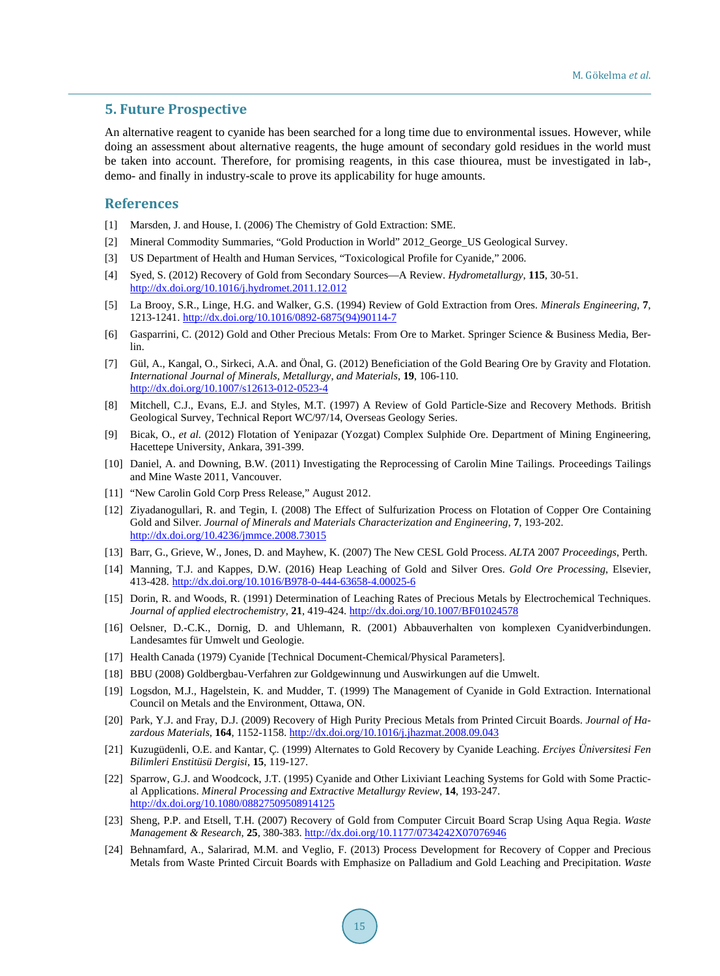## **5. Future Prospective**

An alternative reagent to cyanide has been searched for a long time due to environmental issues. However, while doing an assessment about alternative reagents, the huge amount of secondary gold residues in the world must be taken into account. Therefore, for promising reagents, in this case thiourea, must be investigated in lab-, demo- and finally in industry-scale to prove its applicability for huge amounts.

## **References**

- [1] Marsden, J. and House, I. (2006) The Chemistry of Gold Extraction: SME.
- [2] Mineral Commodity Summaries, "Gold Production in World" 2012\_George\_US Geological Survey.
- [3] US Department of Health and Human Services, "Toxicological Profile for Cyanide," 2006.
- [4] Syed, S. (2012) Recovery of Gold from Secondary Sources—A Review. *Hydrometallurgy*, **115**, 30-51. http://dx.doi.org/10.1016/j.hydromet.2011.12.012
- [5] La Brooy, S.R., Linge, H.G. and Walker, G.S. (1994) Review of Gold Extraction from Ores. *Minerals Engineering*, **7**, 1213-1241. http://dx.doi.org/10.1016/0892-6875(94)90114-7
- [6] Gasparrini, C. (2012) Gold and Other Precious Metals: From Ore to Market. Springer Science & Business Media, Berlin.
- [7] Gül, A., Kangal, O., Sirkeci, A.A. and Önal, G. (2012) Beneficiation of the Gold Bearing Ore by Gravity and Flotation. *International Journal of Minerals*, *Metallurgy*, *and Materials*, **19**, 106-110. http://dx.doi.org/10.1007/s12613-012-0523-4
- [8] Mitchell, C.J., Evans, E.J. and Styles, M.T. (1997) A Review of Gold Particle-Size and Recovery Methods. British Geological Survey, Technical Report WC/97/14, Overseas Geology Series.
- [9] Bicak, O., *et al.* (2012) Flotation of Yenipazar (Yozgat) Complex Sulphide Ore. Department of Mining Engineering, Hacettepe University, Ankara, 391-399.
- [10] Daniel, A. and Downing, B.W. (2011) Investigating the Reprocessing of Carolin Mine Tailings. Proceedings Tailings and Mine Waste 2011, Vancouver.
- [11] "New Carolin Gold Corp Press Release," August 2012.
- [12] Ziyadanogullari, R. and Tegin, I. (2008) The Effect of Sulfurization Process on Flotation of Copper Ore Containing Gold and Silver. *Journal of Minerals and Materials Characterization and Engineering*, **7**, 193-202. http://dx.doi.org/10.4236/jmmce.2008.73015
- [13] Barr, G., Grieve, W., Jones, D. and Mayhew, K. (2007) The New CESL Gold Process. *ALTA* 2007 *Proceedings*, Perth.
- [14] Manning, T.J. and Kappes, D.W. (2016) Heap Leaching of Gold and Silver Ores. *Gold Ore Processing*, Elsevier, 413-428. http://dx.doi.org/10.1016/B978-0-444-63658-4.00025-6
- [15] Dorin, R. and Woods, R. (1991) Determination of Leaching Rates of Precious Metals by Electrochemical Techniques. *Journal of applied electrochemistry*, **21**, 419-424. http://dx.doi.org/10.1007/BF01024578
- [16] Oelsner, D.-C.K., Dornig, D. and Uhlemann, R. (2001) Abbauverhalten von komplexen Cyanidverbindungen. Landesamtes für Umwelt und Geologie.
- [17] Health Canada (1979) Cyanide [Technical Document-Chemical/Physical Parameters].
- [18] BBU (2008) Goldbergbau-Verfahren zur Goldgewinnung und Auswirkungen auf die Umwelt.
- [19] Logsdon, M.J., Hagelstein, K. and Mudder, T. (1999) The Management of Cyanide in Gold Extraction. International Council on Metals and the Environment, Ottawa, ON.
- [20] Park, Y.J. and Fray, D.J. (2009) Recovery of High Purity Precious Metals from Printed Circuit Boards. *Journal of Hazardous Materials*, **164**, 1152-1158. http://dx.doi.org/10.1016/j.jhazmat.2008.09.043
- [21] Kuzugüdenli, O.E. and Kantar, Ç. (1999) Alternates to Gold Recovery by Cyanide Leaching. *Erciyes Üniversitesi Fen Bilimleri Enstitüsü Dergisi*, **15**, 119-127.
- [22] Sparrow, G.J. and Woodcock, J.T. (1995) Cyanide and Other Lixiviant Leaching Systems for Gold with Some Practical Applications. *Mineral Processing and Extractive Metallurgy Review*, **14**, 193-247. http://dx.doi.org/10.1080/08827509508914125
- [23] Sheng, P.P. and Etsell, T.H. (2007) Recovery of Gold from Computer Circuit Board Scrap Using Aqua Regia. *Waste Management & Research*, **25**, 380-383. http://dx.doi.org/10.1177/0734242X07076946
- [24] Behnamfard, A., Salarirad, M.M. and Veglio, F. (2013) Process Development for Recovery of Copper and Precious Metals from Waste Printed Circuit Boards with Emphasize on Palladium and Gold Leaching and Precipitation. *Waste*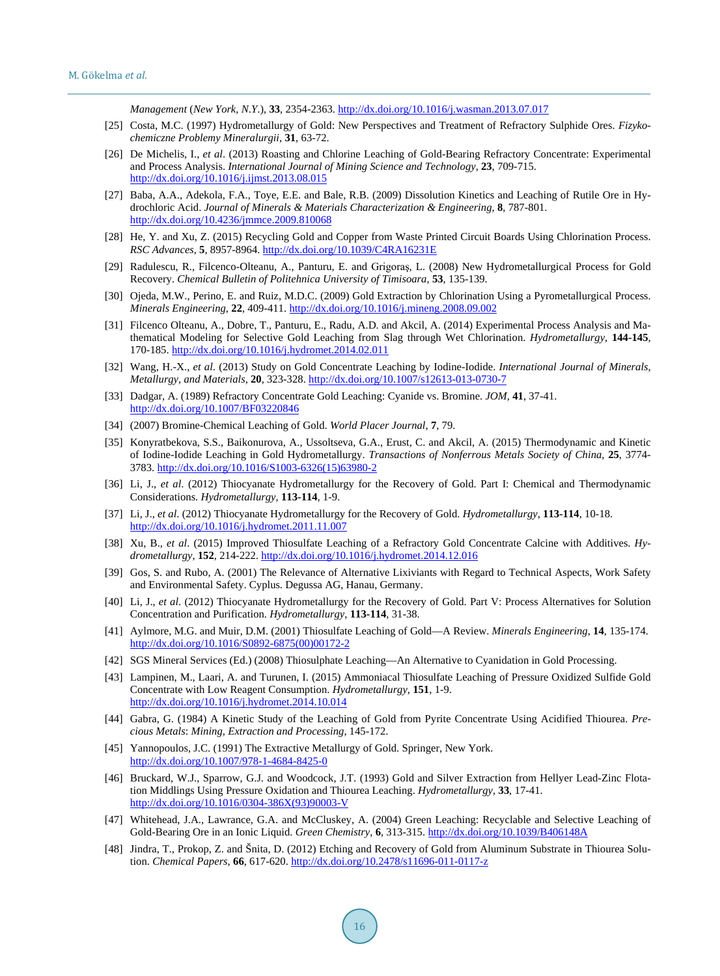*Management* (*New York*, *N*.*Y*.), **33**, 2354-2363. http://dx.doi.org/10.1016/j.wasman.2013.07.017

- [25] Costa, M.C. (1997) Hydrometallurgy of Gold: New Perspectives and Treatment of Refractory Sulphide Ores. *Fizykochemiczne Problemy Mineralurgii*, **31**, 63-72.
- [26] De Michelis, I., *et al*. (2013) Roasting and Chlorine Leaching of Gold-Bearing Refractory Concentrate: Experimental and Process Analysis. *International Journal of Mining Science and Technology*, **23**, 709-715. http://dx.doi.org/10.1016/j.ijmst.2013.08.015
- [27] Baba, A.A., Adekola, F.A., Toye, E.E. and Bale, R.B. (2009) Dissolution Kinetics and Leaching of Rutile Ore in Hydrochloric Acid. *Journal of Minerals & Materials Characterization & Engineering*, **8**, 787-801. http://dx.doi.org/10.4236/jmmce.2009.810068
- [28] He, Y. and Xu, Z. (2015) Recycling Gold and Copper from Waste Printed Circuit Boards Using Chlorination Process. *RSC Advances*, **5**, 8957-8964. http://dx.doi.org/10.1039/C4RA16231E
- [29] Radulescu, R., Filcenco-Olteanu, A., Panturu, E. and Grigoraş, L. (2008) New Hydrometallurgical Process for Gold Recovery. *Chemical Bulletin of Politehnica University of Timisoara*, **53**, 135-139.
- [30] Ojeda, M.W., Perino, E. and Ruiz, M.D.C. (2009) Gold Extraction by Chlorination Using a Pyrometallurgical Process. *Minerals Engineering*, **22**, 409-411. http://dx.doi.org/10.1016/j.mineng.2008.09.002
- [31] Filcenco Olteanu, A., Dobre, T., Panturu, E., Radu, A.D. and Akcil, A. (2014) Experimental Process Analysis and Mathematical Modeling for Selective Gold Leaching from Slag through Wet Chlorination. *Hydrometallurgy*, **144-145**, 170-185. http://dx.doi.org/10.1016/j.hydromet.2014.02.011
- [32] Wang, H.-X., *et al*. (2013) Study on Gold Concentrate Leaching by Iodine-Iodide. *International Journal of Minerals*, *Metallurgy*, *and Materials*, **20**, 323-328. http://dx.doi.org/10.1007/s12613-013-0730-7
- [33] Dadgar, A. (1989) Refractory Concentrate Gold Leaching: Cyanide vs. Bromine. *JOM*, **41**, 37-41. http://dx.doi.org/10.1007/BF03220846
- [34] (2007) Bromine-Chemical Leaching of Gold. *World Placer Journal*, **7**, 79.
- [35] Konyratbekova, S.S., Baikonurova, A., Ussoltseva, G.A., Erust, C. and Akcil, A. (2015) Thermodynamic and Kinetic of Iodine-Iodide Leaching in Gold Hydrometallurgy. *Transactions of Nonferrous Metals Society of China*, **25**, 3774- 3783. http://dx.doi.org/10.1016/S1003-6326(15)63980-2
- [36] Li, J., *et al*. (2012) Thiocyanate Hydrometallurgy for the Recovery of Gold. Part I: Chemical and Thermodynamic Considerations. *Hydrometallurgy*, **113-114**, 1-9.
- [37] Li, J., *et al*. (2012) Thiocyanate Hydrometallurgy for the Recovery of Gold. *Hydrometallurgy*, **113-114**, 10-18. http://dx.doi.org/10.1016/j.hydromet.2011.11.007
- [38] Xu, B., *et al*. (2015) Improved Thiosulfate Leaching of a Refractory Gold Concentrate Calcine with Additives. *Hydrometallurgy*, **152**, 214-222. http://dx.doi.org/10.1016/j.hydromet.2014.12.016
- [39] Gos, S. and Rubo, A. (2001) The Relevance of Alternative Lixiviants with Regard to Technical Aspects, Work Safety and Environmental Safety. Cyplus. Degussa AG, Hanau, Germany.
- [40] Li, J., *et al*. (2012) Thiocyanate Hydrometallurgy for the Recovery of Gold. Part V: Process Alternatives for Solution Concentration and Purification. *Hydrometallurgy*, **113-114**, 31-38.
- [41] Aylmore, M.G. and Muir, D.M. (2001) Thiosulfate Leaching of Gold—A Review. *Minerals Engineering*, **14**, 135-174. http://dx.doi.org/10.1016/S0892-6875(00)00172-2
- [42] SGS Mineral Services (Ed.) (2008) Thiosulphate Leaching—An Alternative to Cyanidation in Gold Processing.
- [43] Lampinen, M., Laari, A. and Turunen, I. (2015) Ammoniacal Thiosulfate Leaching of Pressure Oxidized Sulfide Gold Concentrate with Low Reagent Consumption. *Hydrometallurgy*, **151**, 1-9. http://dx.doi.org/10.1016/j.hydromet.2014.10.014
- [44] Gabra, G. (1984) A Kinetic Study of the Leaching of Gold from Pyrite Concentrate Using Acidified Thiourea. *Precious Metals*: *Mining*, *Extraction and Processing*, 145-172.
- [45] Yannopoulos, J.C. (1991) The Extractive Metallurgy of Gold. Springer, New York. http://dx.doi.org/10.1007/978-1-4684-8425-0
- [46] Bruckard, W.J., Sparrow, G.J. and Woodcock, J.T. (1993) Gold and Silver Extraction from Hellyer Lead-Zinc Flotation Middlings Using Pressure Oxidation and Thiourea Leaching. *Hydrometallurgy*, **33**, 17-41. http://dx.doi.org/10.1016/0304-386X(93)90003-V
- [47] Whitehead, J.A., Lawrance, G.A. and McCluskey, A. (2004) Green Leaching: Recyclable and Selective Leaching of Gold-Bearing Ore in an Ionic Liquid. *Green Chemistry*, **6**, 313-315. http://dx.doi.org/10.1039/B406148A
- [48] Jindra, T., Prokop, Z. and Šnita, D. (2012) Etching and Recovery of Gold from Aluminum Substrate in Thiourea Solution. *Chemical Papers*, **66**, 617-620. http://dx.doi.org/10.2478/s11696-011-0117-z